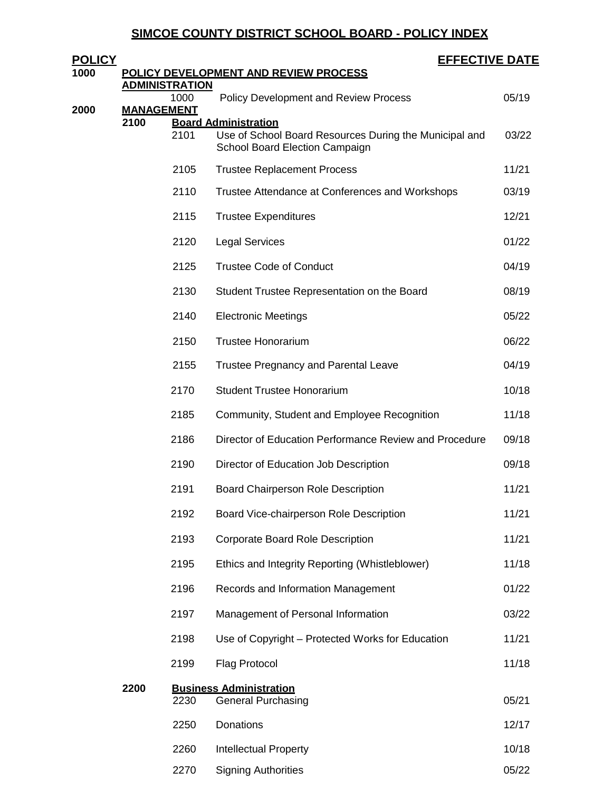# **SIMCOE COUNTY DISTRICT SCHOOL BOARD - POLICY INDEX**

| <u>POLICY</u> |                           |      | <b>EFFECTIVE DATE</b>                                                                    |       |
|---------------|---------------------------|------|------------------------------------------------------------------------------------------|-------|
| 1000          | <b>ADMINISTRATION</b>     |      | POLICY DEVELOPMENT AND REVIEW PROCESS                                                    |       |
|               |                           | 1000 | <b>Policy Development and Review Process</b>                                             | 05/19 |
| 2000          | <b>MANAGEMENT</b><br>2100 |      | <b>Board Administration</b>                                                              |       |
|               |                           | 2101 | Use of School Board Resources During the Municipal and<br>School Board Election Campaign | 03/22 |
|               |                           | 2105 | <b>Trustee Replacement Process</b>                                                       | 11/21 |
|               |                           | 2110 | Trustee Attendance at Conferences and Workshops                                          | 03/19 |
|               |                           | 2115 | <b>Trustee Expenditures</b>                                                              | 12/21 |
|               |                           | 2120 | <b>Legal Services</b>                                                                    | 01/22 |
|               |                           | 2125 | <b>Trustee Code of Conduct</b>                                                           | 04/19 |
|               |                           | 2130 | Student Trustee Representation on the Board                                              | 08/19 |
|               |                           | 2140 | <b>Electronic Meetings</b>                                                               | 05/22 |
|               |                           | 2150 | <b>Trustee Honorarium</b>                                                                | 06/22 |
|               |                           | 2155 | <b>Trustee Pregnancy and Parental Leave</b>                                              | 04/19 |
|               |                           | 2170 | <b>Student Trustee Honorarium</b>                                                        | 10/18 |
|               |                           | 2185 | Community, Student and Employee Recognition                                              | 11/18 |
|               |                           | 2186 | Director of Education Performance Review and Procedure                                   | 09/18 |
|               |                           | 2190 | Director of Education Job Description                                                    | 09/18 |
|               |                           | 2191 | <b>Board Chairperson Role Description</b>                                                | 11/21 |
|               |                           | 2192 | Board Vice-chairperson Role Description                                                  | 11/21 |
|               |                           | 2193 | Corporate Board Role Description                                                         | 11/21 |
|               |                           | 2195 | Ethics and Integrity Reporting (Whistleblower)                                           | 11/18 |
|               |                           | 2196 | Records and Information Management                                                       | 01/22 |
|               |                           | 2197 | Management of Personal Information                                                       | 03/22 |
|               |                           | 2198 | Use of Copyright - Protected Works for Education                                         | 11/21 |
|               |                           | 2199 | <b>Flag Protocol</b>                                                                     | 11/18 |
|               | 2200                      | 2230 | <b>Business Administration</b><br><b>General Purchasing</b>                              | 05/21 |
|               |                           | 2250 | Donations                                                                                | 12/17 |
|               |                           | 2260 | <b>Intellectual Property</b>                                                             | 10/18 |
|               |                           | 2270 | <b>Signing Authorities</b>                                                               | 05/22 |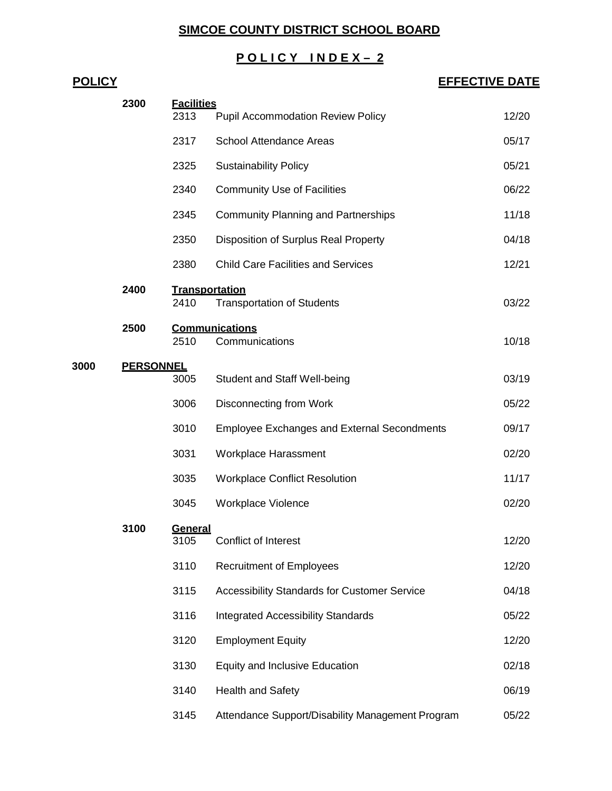## **SIMCOE COUNTY DISTRICT SCHOOL BOARD**

## **P O L I C Y I N D E X – 2**

# **POLICY EFFECTIVE DATE Facilities** 2313 Pupil Accommodation Review Policy 12/20 2317 School Attendance Areas 05/17 Sustainability Policy 05/21 Community Use of Facilities 06/22 2345 Community Planning and Partnerships 11/18 Disposition of Surplus Real Property 04/18 2380 Child Care Facilities and Services 12/21 **Transportation** Transportation of Students 03/22 **Communications** 2510 Communications 10/18 **PERSONNEL** Student and Staff Well-being 03/19 3006 Disconnecting from Work 65/22 Employee Exchanges and External Secondments 09/17 3031 Workplace Harassment **1996** CO2/20 Workplace Conflict Resolution 11/17 Workplace Violence 02/20 **General** 3105 Conflict of Interest 12/20 3110 Recruitment of Employees 12/20 Accessibility Standards for Customer Service 04/18 Integrated Accessibility Standards 05/22 Employment Equity 12/20 Equity and Inclusive Education 02/18 Health and Safety 06/19

Attendance Support/Disability Management Program 05/22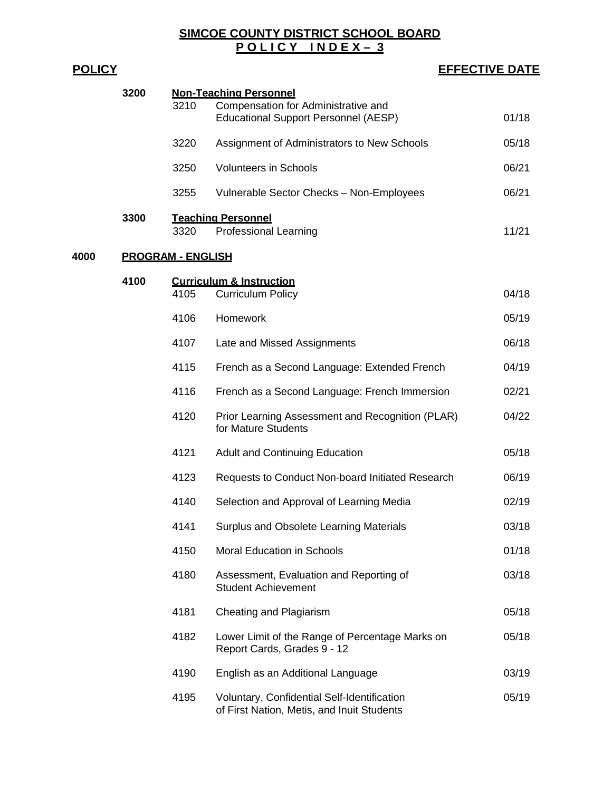**SIMCOE COUNTY DISTRICT SCHOOL BOARD P O L I C Y I N D E X – 3**

| <u>POLICY</u> |                          |      | <b>EFFECTIVE DATE</b>                                                                                               |       |
|---------------|--------------------------|------|---------------------------------------------------------------------------------------------------------------------|-------|
|               | 3200                     | 3210 | <b>Non-Teaching Personnel</b><br>Compensation for Administrative and<br><b>Educational Support Personnel (AESP)</b> | 01/18 |
|               |                          | 3220 | Assignment of Administrators to New Schools                                                                         | 05/18 |
|               |                          | 3250 | <b>Volunteers in Schools</b>                                                                                        | 06/21 |
|               |                          | 3255 | Vulnerable Sector Checks - Non-Employees                                                                            | 06/21 |
|               | 3300                     | 3320 | <b>Teaching Personnel</b><br>Professional Learning                                                                  | 11/21 |
| 4000          | <b>PROGRAM - ENGLISH</b> |      |                                                                                                                     |       |
|               | 4100                     | 4105 | <b>Curriculum &amp; Instruction</b><br><b>Curriculum Policy</b>                                                     | 04/18 |
|               |                          | 4106 | Homework                                                                                                            | 05/19 |
|               |                          | 4107 | Late and Missed Assignments                                                                                         | 06/18 |
|               |                          | 4115 | French as a Second Language: Extended French                                                                        | 04/19 |
|               |                          | 4116 | French as a Second Language: French Immersion                                                                       | 02/21 |
|               |                          | 4120 | Prior Learning Assessment and Recognition (PLAR)<br>for Mature Students                                             | 04/22 |
|               |                          | 4121 | <b>Adult and Continuing Education</b>                                                                               | 05/18 |
|               |                          | 4123 | Requests to Conduct Non-board Initiated Research                                                                    | 06/19 |
|               |                          | 4140 | Selection and Approval of Learning Media                                                                            | 02/19 |
|               |                          | 4141 | Surplus and Obsolete Learning Materials                                                                             | 03/18 |
|               |                          | 4150 | <b>Moral Education in Schools</b>                                                                                   | 01/18 |
|               |                          | 4180 | Assessment, Evaluation and Reporting of<br><b>Student Achievement</b>                                               | 03/18 |
|               |                          | 4181 | Cheating and Plagiarism                                                                                             | 05/18 |
|               |                          | 4182 | Lower Limit of the Range of Percentage Marks on<br>Report Cards, Grades 9 - 12                                      | 05/18 |
|               |                          | 4190 | English as an Additional Language                                                                                   | 03/19 |
|               |                          | 4195 | Voluntary, Confidential Self-Identification<br>of First Nation, Metis, and Inuit Students                           | 05/19 |